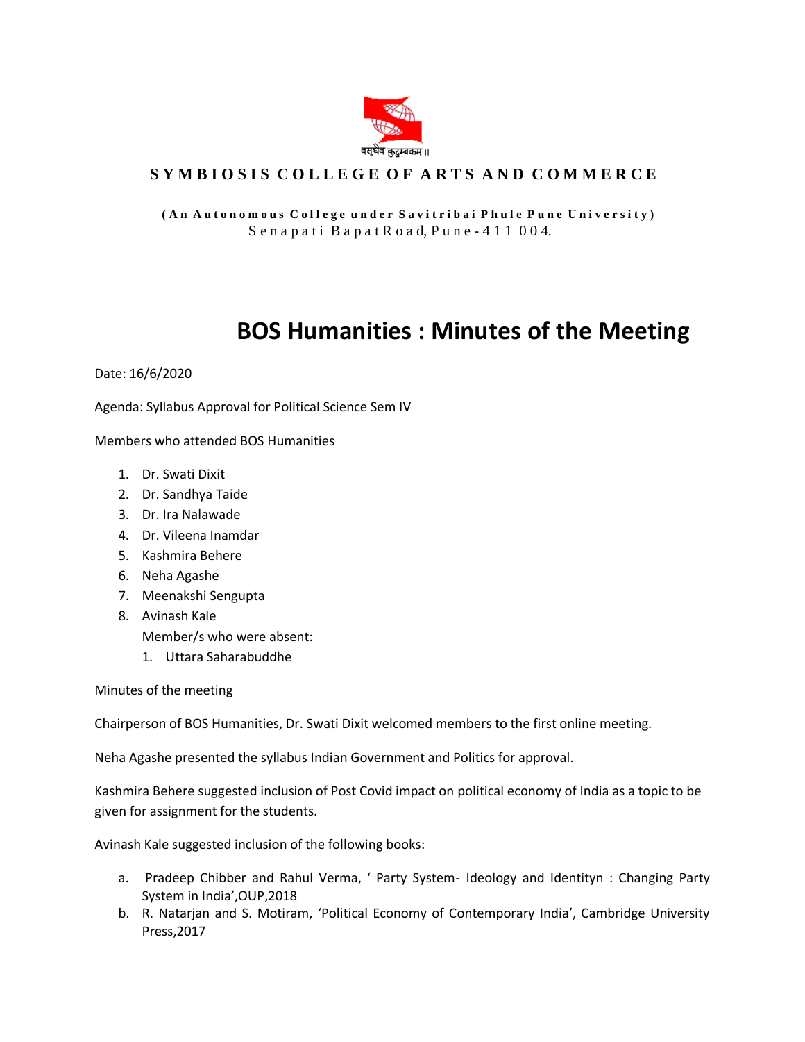

## SYMBIOSIS COLLEGE OF ARTS AND COMMERCE

## **( A n A u t o n o m o u s C o l l e g e u n d e r S a v i t r i b a i P h u l e P u n e U n i v e r s i t y )** S e n a p a t i B a p a t R o a d, P u n e - 4 1 1 0 0 4.

## **BOS Humanities : Minutes of the Meeting**

Date: 16/6/2020

Agenda: Syllabus Approval for Political Science Sem IV

Members who attended BOS Humanities

- 1. Dr. Swati Dixit
- 2. Dr. Sandhya Taide
- 3. Dr. Ira Nalawade
- 4. Dr. Vileena Inamdar
- 5. Kashmira Behere
- 6. Neha Agashe
- 7. Meenakshi Sengupta
- 8. Avinash Kale Member/s who were absent:
	- 1. Uttara Saharabuddhe

Minutes of the meeting

Chairperson of BOS Humanities, Dr. Swati Dixit welcomed members to the first online meeting.

Neha Agashe presented the syllabus Indian Government and Politics for approval.

Kashmira Behere suggested inclusion of Post Covid impact on political economy of India as a topic to be given for assignment for the students.

Avinash Kale suggested inclusion of the following books:

- a. Pradeep Chibber and Rahul Verma, ' Party System- Ideology and Identityn : Changing Party System in India',OUP,2018
- b. R. Natarjan and S. Motiram, 'Political Economy of Contemporary India', Cambridge University Press,2017